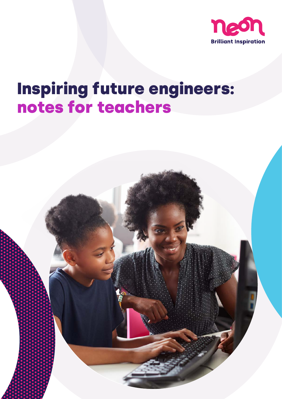

# Inspiring future engineers: notes for teachers

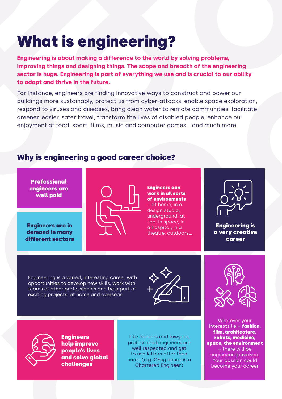# What is engineering?

**Engineering is about making a difference to the world by solving problems, improving things and designing things. The scope and breadth of the engineering sector is huge. Engineering is part of everything we use and is crucial to our ability to adapt and thrive in the future.**

For instance, engineers are finding innovative ways to construct and power our buildings more sustainably, protect us from cyber-attacks, enable space exploration, respond to viruses and diseases, bring clean water to remote communities, facilitate greener, easier, safer travel, transform the lives of disabled people, enhance our enjoyment of food, sport, films, music and computer games… and much more.

#### Why is engineering a good career choice?

**Professional** engineers are well paid

Engineers are in demand in many different sectors



Engineers can work in all sorts of environments – at home, in a design studio, underground, at sea, in space, in a hospital, in a theatre, outdoors…



Engineering is a very creative career

Engineering is a varied, interesting career with opportunities to develop new skills, work with teams of other professionals and be a part of exciting projects, at home and overseas







**Engineers** help improve people's lives and solve global challenges

Like doctors and lawyers, professional engineers are well respected and get to use letters after their name (e.g. CEng denotes a Chartered Engineer)

Wherever your interests lie - fashion, film, architecture, robots, medicine, space, the environment – there will be engineering involved. Your passion could become your career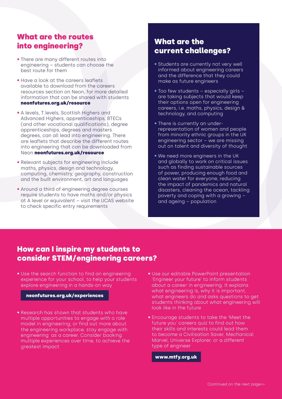### What are the routes into engineering?

- There are many different routes into engineering – students can choose the best route for them
- Have a look at the careers leaflets available to download from the careers resources section on Neon, for more detailed information that can be shared with students <neonfutures.org.uk/resource>
- A levels, T levels, Scottish Highers and Advanced Highers, apprenticeships, BTECs (and other vocational qualifications), degree apprenticeships, degrees and masters degrees, can all lead into engineering. There are leaflets that describe the different routes into engineering that can be downloaded from Neon <neonfutures.org.uk/resource>
- Relevant subjects for engineering include maths, physics, design and technology, computing, chemistry, geography, construction and the built environment, art and languages
- Around a third of engineering degree courses require students to have maths and/or physics at A level or equivalent – visit the UCAS website to check specific entry requirements

### What are the current challenges?

- Students are currently not very well informed about engineering careers and the difference that they could make as future engineers
- Too few students especially girls are taking subjects that would keep their options open for engineering careers, i.e. maths, physics, design & technology, and computing
- There is currently an underrepresentation of women and people from minority ethnic groups in the UK engineering sector – we are missing out on talent and diversity of thought
- We need more engineers in the UK and globally to work on critical issues such as finding sustainable sources of power, producing enough food and clean water for everyone, reducing the impact of pandemics and natural disasters, cleaning the ocean, tackling poverty and coping with a growing – and ageing – population

### How can I inspire my students to consider STEM/engineering careers?

• Use the search function to find an engineering experience for your school, to help your students explore engineering in a hands-on way

#### <neonfutures.org.uk/experiences>

- Research has shown that students who have multiple opportunities to engage with a role model in engineering, or find out more about the engineering workplace, stay engage with engineering as a career. Consider booking multiple experiences over time, to achieve the greatest impact
- Use our editable PowerPoint presentation 'Engineer your future' to inform students about a career in engineering. It explains what engineering is, why it is important, what engineers do and asks questions to get students thinking about what engineering will look like in the future
- Encourage students to take the 'Meet the future you' careers quiz to find out how their skills and interests could lead them to become a Civilisation Saver, Mechanical Marvel, Universe Explorer, or a different type of engineer

<www.mtfy.org.uk>